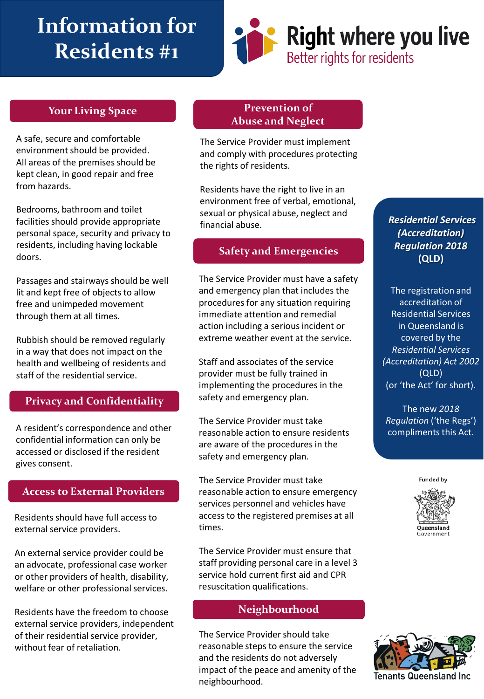# **Information for Residents #1**



A safe, secure and comfortable environment should be provided. All areas of the premises should be kept clean, in good repair and free from hazards.

Bedrooms, bathroom and toilet facilities should provide appropriate personal space, security and privacy to residents, including having lockable doors.

Passages and stairways should be well lit and kept free of objects to allow free and unimpeded movement through them at all times.

Rubbish should be removed regularly in a way that does not impact on the health and wellbeing of residents and staff of the residential service.

#### **Privacy and Confidentiality**

A resident's correspondence and other confidential information can only be accessed or disclosed if the resident gives consent.

#### **Access to External Providers**

Residents should have full access to external service providers.

An external service provider could be an advocate, professional case worker or other providers of health, disability, welfare or other professional services.

Residents have the freedom to choose external service providers, independent of their residential service provider, without fear of retaliation.

#### **Your Living Space Prevention of Abuse and Neglect**

The Service Provider must implement and comply with procedures protecting the rights of residents.

Residents have the right to live in an environment free of verbal, emotional, sexual or physical abuse, neglect and financial abuse.

### **Safety and Emergencies**

The Service Provider must have a safety and emergency plan that includes the procedures for any situation requiring immediate attention and remedial action including a serious incident or extreme weather event at the service.

Staff and associates of the service provider must be fully trained in implementing the procedures in the safety and emergency plan.

The Service Provider must take reasonable action to ensure residents are aware of the procedures in the safety and emergency plan.

The Service Provider must take reasonable action to ensure emergency services personnel and vehicles have access to the registered premises at all times.

The Service Provider must ensure that staff providing personal care in a level 3 service hold current first aid and CPR resuscitation qualifications.

#### **Neighbourhood**

The Service Provider should take reasonable steps to ensure the service and the residents do not adversely impact of the peace and amenity of the neighbourhood.

*Residential Services (Accreditation) Regulation 2018* **(QLD)**

The registration and accreditation of Residential Services in Queensland is covered by the *Residential Services (Accreditation) Act 2002* (QLD) (or 'the Act' for short).

The new *2018 Regulation* ('the Regs') compliments this Act.

**Funded by**